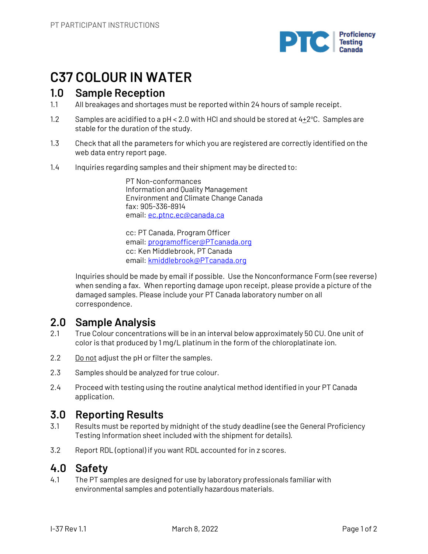

## **C37 COLOUR IN WATER**

### **1.0 Sample Reception**

- 1.1 All breakages and shortages must be reported within 24 hours of sample receipt.
- 1.2 Samples are acidified to a pH < 2.0 with HCI and should be stored at  $4\pm2^{\circ}$ C. Samples are stable for the duration of the study.
- 1.3 Check that all the parameters for which you are registered are correctly identified on the web data entry report page.
- 1.4 Inquiries regarding samples and their shipment may be directed to:

PT Non-conformances Information and Quality Management Environment and Climate Change Canada fax: 905-336-8914 email: ec.ptnc.ec@canada.ca

cc: PT Canada, Program Officer email: programofficer@PTcanada.org cc: Ken Middlebrook, PT Canada email: kmiddlebrook@PTcanada.org

Inquiries should be made by email if possible. Use the Nonconformance Form (see reverse) when sending a fax. When reporting damage upon receipt, please provide a picture of the damaged samples. Please include your PT Canada laboratory number on all correspondence.

## **2.0 Sample Analysis**

- 2.1 True Colour concentrations will be in an interval below approximately 50 CU. One unit of color is that produced by 1 mg/L platinum in the form of the chloroplatinate ion.
- 2.2 Do not adjust the pH or filter the samples.
- 2.3 Samples should be analyzed for true colour.
- 2.4 Proceed with testing using the routine analytical method identified in your PT Canada application.

## **3.0 Reporting Results**

- 3.1 Results must be reported by midnight of the study deadline (see the General Proficiency Testing Information sheet included with the shipment for details).
- 3.2 Report RDL (optional) if you want RDL accounted for in z scores.

## **4.0 Safety**

4.1 The PT samples are designed for use by laboratory professionals familiar with environmental samples and potentially hazardous materials.